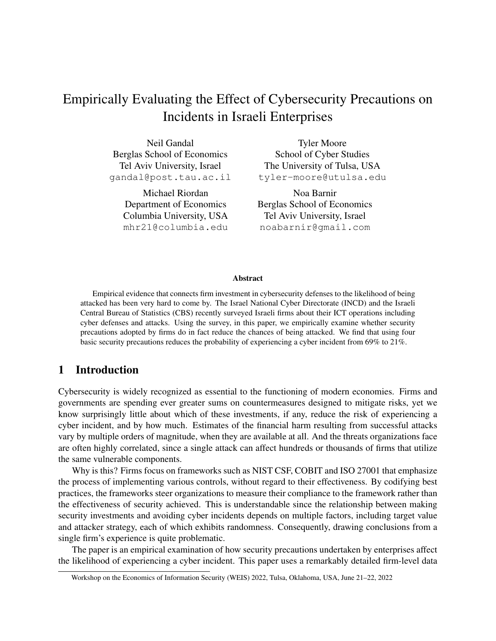# Empirically Evaluating the Effect of Cybersecurity Precautions on Incidents in Israeli Enterprises

Neil Gandal Berglas School of Economics Tel Aviv University, Israel gandal@post.tau.ac.il

> Michael Riordan Department of Economics Columbia University, USA mhr21@columbia.edu

Tyler Moore School of Cyber Studies The University of Tulsa, USA tyler-moore@utulsa.edu

Noa Barnir Berglas School of Economics Tel Aviv University, Israel noabarnir@gmail.com

#### Abstract

Empirical evidence that connects firm investment in cybersecurity defenses to the likelihood of being attacked has been very hard to come by. The Israel National Cyber Directorate (INCD) and the Israeli Central Bureau of Statistics (CBS) recently surveyed Israeli firms about their ICT operations including cyber defenses and attacks. Using the survey, in this paper, we empirically examine whether security precautions adopted by firms do in fact reduce the chances of being attacked. We find that using four basic security precautions reduces the probability of experiencing a cyber incident from 69% to 21%.

### 1 Introduction

Cybersecurity is widely recognized as essential to the functioning of modern economies. Firms and governments are spending ever greater sums on countermeasures designed to mitigate risks, yet we know surprisingly little about which of these investments, if any, reduce the risk of experiencing a cyber incident, and by how much. Estimates of the financial harm resulting from successful attacks vary by multiple orders of magnitude, when they are available at all. And the threats organizations face are often highly correlated, since a single attack can affect hundreds or thousands of firms that utilize the same vulnerable components.

Why is this? Firms focus on frameworks such as NIST CSF, COBIT and ISO 27001 that emphasize the process of implementing various controls, without regard to their effectiveness. By codifying best practices, the frameworks steer organizations to measure their compliance to the framework rather than the effectiveness of security achieved. This is understandable since the relationship between making security investments and avoiding cyber incidents depends on multiple factors, including target value and attacker strategy, each of which exhibits randomness. Consequently, drawing conclusions from a single firm's experience is quite problematic.

The paper is an empirical examination of how security precautions undertaken by enterprises affect the likelihood of experiencing a cyber incident. This paper uses a remarkably detailed firm-level data

Workshop on the Economics of Information Security (WEIS) 2022, Tulsa, Oklahoma, USA, June 21–22, 2022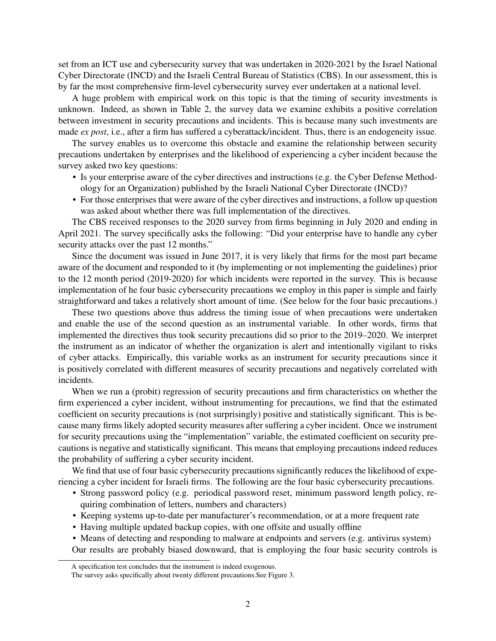set from an ICT use and cybersecurity survey that was undertaken in 2020-2021 by the Israel National Cyber Directorate (INCD) and the Israeli Central Bureau of Statistics (CBS). In our assessment, this is by far the most comprehensive firm-level cybersecurity survey ever undertaken at a national level.

A huge problem with empirical work on this topic is that the timing of security investments is unknown. Indeed, as shown in Table 2, the survey data we examine exhibits a positive correlation between investment in security precautions and incidents. This is because many such investments are made *ex post*, i.e., after a firm has suffered a cyberattack/incident. Thus, there is an endogeneity issue.

The survey enables us to overcome this obstacle and examine the relationship between security precautions undertaken by enterprises and the likelihood of experiencing a cyber incident because the survey asked two key questions:

- Is your enterprise aware of the cyber directives and instructions (e.g. the Cyber Defense Methodology for an Organization) published by the Israeli National Cyber Directorate (INCD)?
- For those enterprises that were aware of the cyber directives and instructions, a follow up question was asked about whether there was full implementation of the directives.

The CBS received responses to the 2020 survey from firms beginning in July 2020 and ending in April 2021. The survey specifically asks the following: "Did your enterprise have to handle any cyber security attacks over the past 12 months."

Since the document was issued in June 2017, it is very likely that firms for the most part became aware of the document and responded to it (by implementing or not implementing the guidelines) prior to the 12 month period (2019-2020) for which incidents were reported in the survey. This is because implementation of he four basic cybersecurity precautions we employ in this paper is simple and fairly straightforward and takes a relatively short amount of time. (See below for the four basic precautions.)

These two questions above thus address the timing issue of when precautions were undertaken and enable the use of the second question as an instrumental variable. In other words, firms that implemented the directives thus took security precautions did so prior to the 2019–2020. We interpret the instrument as an indicator of whether the organization is alert and intentionally vigilant to risks of cyber attacks. Empirically, this variable works as an instrument for security precautions since it is positively correlated with different measures of security precautions and negatively correlated with incidents.

When we run a (probit) regression of security precautions and firm characteristics on whether the firm experienced a cyber incident, without instrumenting for precautions, we find that the estimated coefficient on security precautions is (not surprisingly) positive and statistically significant. This is because many firms likely adopted security measures after suffering a cyber incident. Once we instrument for security precautions using the "implementation" variable, the estimated coefficient on security precautions is negative and statistically significant. This means that employing precautions indeed reduces the probability of suffering a cyber security incident.

We find that use of four basic cybersecurity precautions significantly reduces the likelihood of experiencing a cyber incident for Israeli firms. The following are the four basic cybersecurity precautions.

- Strong password policy (e.g. periodical password reset, minimum password length policy, requiring combination of letters, numbers and characters)
- Keeping systems up-to-date per manufacturer's recommendation, or at a more frequent rate
- Having multiple updated backup copies, with one offsite and usually offline
- Means of detecting and responding to malware at endpoints and servers (e.g. antivirus system) Our results are probably biased downward, that is employing the four basic security controls is

A specification test concludes that the instrument is indeed exogenous.

The survey asks specifically about twenty different precautions.See Figure 3.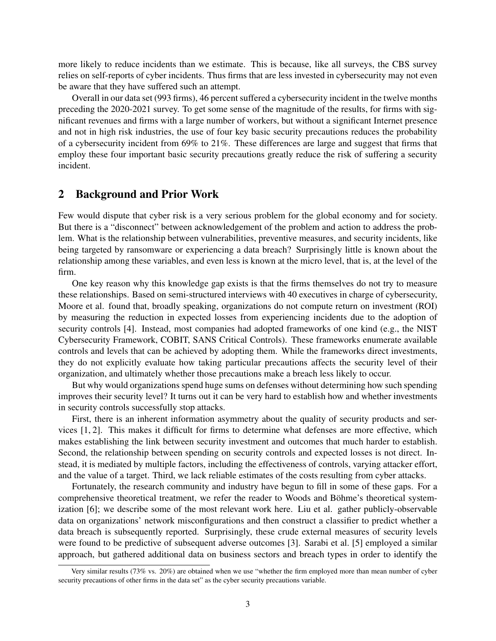more likely to reduce incidents than we estimate. This is because, like all surveys, the CBS survey relies on self-reports of cyber incidents. Thus firms that are less invested in cybersecurity may not even be aware that they have suffered such an attempt.

Overall in our data set (993 firms), 46 percent suffered a cybersecurity incident in the twelve months preceding the 2020-2021 survey. To get some sense of the magnitude of the results, for firms with significant revenues and firms with a large number of workers, but without a significant Internet presence and not in high risk industries, the use of four key basic security precautions reduces the probability of a cybersecurity incident from 69% to 21%. These differences are large and suggest that firms that employ these four important basic security precautions greatly reduce the risk of suffering a security incident.

#### 2 Background and Prior Work

Few would dispute that cyber risk is a very serious problem for the global economy and for society. But there is a "disconnect" between acknowledgement of the problem and action to address the problem. What is the relationship between vulnerabilities, preventive measures, and security incidents, like being targeted by ransomware or experiencing a data breach? Surprisingly little is known about the relationship among these variables, and even less is known at the micro level, that is, at the level of the firm.

One key reason why this knowledge gap exists is that the firms themselves do not try to measure these relationships. Based on semi-structured interviews with 40 executives in charge of cybersecurity, Moore et al. found that, broadly speaking, organizations do not compute return on investment (ROI) by measuring the reduction in expected losses from experiencing incidents due to the adoption of security controls [4]. Instead, most companies had adopted frameworks of one kind (e.g., the NIST Cybersecurity Framework, COBIT, SANS Critical Controls). These frameworks enumerate available controls and levels that can be achieved by adopting them. While the frameworks direct investments, they do not explicitly evaluate how taking particular precautions affects the security level of their organization, and ultimately whether those precautions make a breach less likely to occur.

But why would organizations spend huge sums on defenses without determining how such spending improves their security level? It turns out it can be very hard to establish how and whether investments in security controls successfully stop attacks.

First, there is an inherent information asymmetry about the quality of security products and services [1, 2]. This makes it difficult for firms to determine what defenses are more effective, which makes establishing the link between security investment and outcomes that much harder to establish. Second, the relationship between spending on security controls and expected losses is not direct. Instead, it is mediated by multiple factors, including the effectiveness of controls, varying attacker effort, and the value of a target. Third, we lack reliable estimates of the costs resulting from cyber attacks.

Fortunately, the research community and industry have begun to fill in some of these gaps. For a comprehensive theoretical treatment, we refer the reader to Woods and Böhme's theoretical systemization [6]; we describe some of the most relevant work here. Liu et al. gather publicly-observable data on organizations' network misconfigurations and then construct a classifier to predict whether a data breach is subsequently reported. Surprisingly, these crude external measures of security levels were found to be predictive of subsequent adverse outcomes [3]. Sarabi et al. [5] employed a similar approach, but gathered additional data on business sectors and breach types in order to identify the

Very similar results (73% vs. 20%) are obtained when we use "whether the firm employed more than mean number of cyber security precautions of other firms in the data set" as the cyber security precautions variable.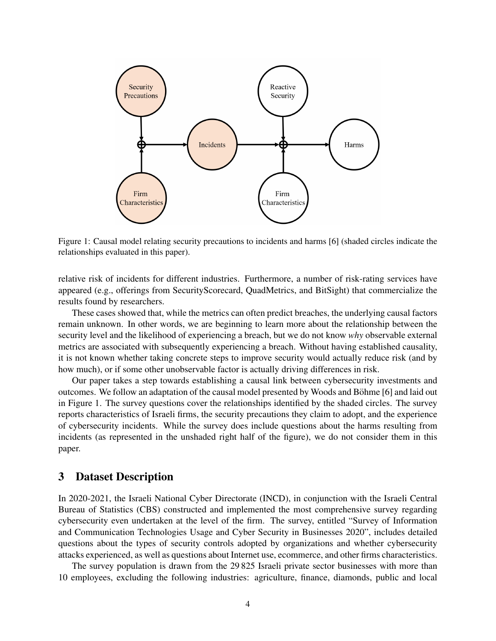

Figure 1: Causal model relating security precautions to incidents and harms [6] (shaded circles indicate the relationships evaluated in this paper).

relative risk of incidents for different industries. Furthermore, a number of risk-rating services have appeared (e.g., offerings from SecurityScorecard, QuadMetrics, and BitSight) that commercialize the results found by researchers.

These cases showed that, while the metrics can often predict breaches, the underlying causal factors remain unknown. In other words, we are beginning to learn more about the relationship between the security level and the likelihood of experiencing a breach, but we do not know *why* observable external metrics are associated with subsequently experiencing a breach. Without having established causality, it is not known whether taking concrete steps to improve security would actually reduce risk (and by how much), or if some other unobservable factor is actually driving differences in risk.

Our paper takes a step towards establishing a causal link between cybersecurity investments and outcomes. We follow an adaptation of the causal model presented by Woods and Böhme [6] and laid out in Figure 1. The survey questions cover the relationships identified by the shaded circles. The survey reports characteristics of Israeli firms, the security precautions they claim to adopt, and the experience of cybersecurity incidents. While the survey does include questions about the harms resulting from incidents (as represented in the unshaded right half of the figure), we do not consider them in this paper.

#### 3 Dataset Description

In 2020-2021, the Israeli National Cyber Directorate (INCD), in conjunction with the Israeli Central Bureau of Statistics (CBS) constructed and implemented the most comprehensive survey regarding cybersecurity even undertaken at the level of the firm. The survey, entitled "Survey of Information and Communication Technologies Usage and Cyber Security in Businesses 2020", includes detailed questions about the types of security controls adopted by organizations and whether cybersecurity attacks experienced, as well as questions about Internet use, ecommerce, and other firms characteristics.

The survey population is drawn from the 29 825 Israeli private sector businesses with more than 10 employees, excluding the following industries: agriculture, finance, diamonds, public and local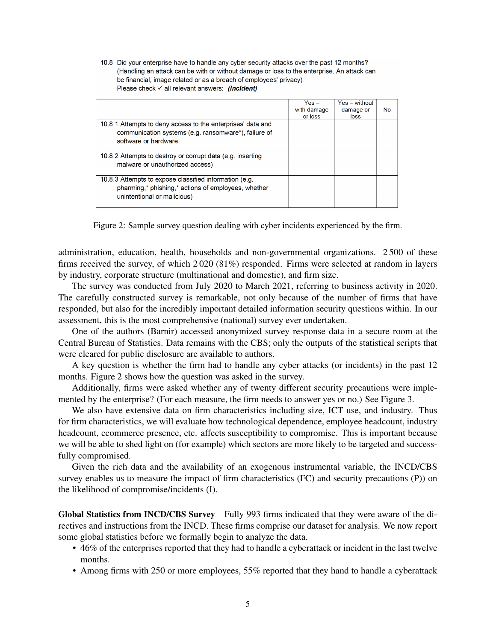10.8 Did your enterprise have to handle any cyber security attacks over the past 12 months? (Handling an attack can be with or without damage or loss to the enterprise. An attack can be financial, image related or as a breach of employees' privacy) Please check  $\checkmark$  all relevant answers: (Incident)

|                                                                                                                                              | $Yes -$<br>with damage | Yes - without<br>damage or | No |
|----------------------------------------------------------------------------------------------------------------------------------------------|------------------------|----------------------------|----|
|                                                                                                                                              | or loss                | loss                       |    |
| 10.8.1 Attempts to deny access to the enterprises' data and<br>communication systems (e.g. ransomware*), failure of<br>software or hardware  |                        |                            |    |
| 10.8.2 Attempts to destroy or corrupt data (e.g. inserting<br>malware or unauthorized access)                                                |                        |                            |    |
| 10.8.3 Attempts to expose classified information (e.g.<br>pharming,* phishing,* actions of employees, whether<br>unintentional or malicious) |                        |                            |    |

Figure 2: Sample survey question dealing with cyber incidents experienced by the firm.

administration, education, health, households and non-governmental organizations. 2 500 of these firms received the survey, of which 2 020 (81%) responded. Firms were selected at random in layers by industry, corporate structure (multinational and domestic), and firm size.

The survey was conducted from July 2020 to March 2021, referring to business activity in 2020. The carefully constructed survey is remarkable, not only because of the number of firms that have responded, but also for the incredibly important detailed information security questions within. In our assessment, this is the most comprehensive (national) survey ever undertaken.

One of the authors (Barnir) accessed anonymized survey response data in a secure room at the Central Bureau of Statistics. Data remains with the CBS; only the outputs of the statistical scripts that were cleared for public disclosure are available to authors.

A key question is whether the firm had to handle any cyber attacks (or incidents) in the past 12 months. Figure 2 shows how the question was asked in the survey.

Additionally, firms were asked whether any of twenty different security precautions were implemented by the enterprise? (For each measure, the firm needs to answer yes or no.) See Figure 3.

We also have extensive data on firm characteristics including size, ICT use, and industry. Thus for firm characteristics, we will evaluate how technological dependence, employee headcount, industry headcount, ecommerce presence, etc. affects susceptibility to compromise. This is important because we will be able to shed light on (for example) which sectors are more likely to be targeted and successfully compromised.

Given the rich data and the availability of an exogenous instrumental variable, the INCD/CBS survey enables us to measure the impact of firm characteristics (FC) and security precautions (P)) on the likelihood of compromise/incidents (I).

Global Statistics from INCD/CBS Survey Fully 993 firms indicated that they were aware of the directives and instructions from the INCD. These firms comprise our dataset for analysis. We now report some global statistics before we formally begin to analyze the data.

- 46% of the enterprises reported that they had to handle a cyberattack or incident in the last twelve months.
- Among firms with 250 or more employees, 55% reported that they hand to handle a cyberattack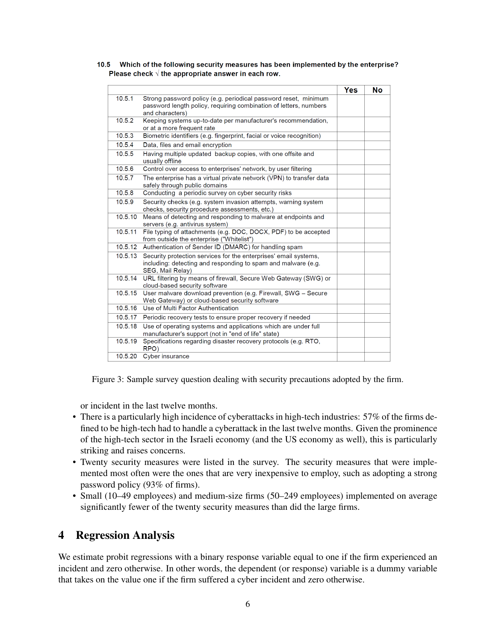|         |                                                                                                                                                         | <b>Yes</b> | <b>No</b> |
|---------|---------------------------------------------------------------------------------------------------------------------------------------------------------|------------|-----------|
| 10.5.1  | Strong password policy (e.g. periodical password reset, minimum<br>password length policy, requiring combination of letters, numbers<br>and characters) |            |           |
| 10.5.2  | Keeping systems up-to-date per manufacturer's recommendation,<br>or at a more frequent rate                                                             |            |           |
| 10.5.3  | Biometric identifiers (e.g. fingerprint, facial or voice recognition)                                                                                   |            |           |
| 10.5.4  | Data, files and email encryption                                                                                                                        |            |           |
| 10.5.5  | Having multiple updated backup copies, with one offsite and<br>usually offline                                                                          |            |           |
| 10.5.6  | Control over access to enterprises' network, by user filtering                                                                                          |            |           |
| 10.5.7  | The enterprise has a virtual private network (VPN) to transfer data<br>safely through public domains                                                    |            |           |
| 10.5.8  | Conducting a periodic survey on cyber security risks                                                                                                    |            |           |
| 10.5.9  | Security checks (e.g. system invasion attempts, warning system<br>checks, security procedure assessments, etc.)                                         |            |           |
| 10.5.10 | Means of detecting and responding to malware at endpoints and<br>servers (e.g. antivirus system)                                                        |            |           |
| 10.5.11 | File typing of attachments (e.g. DOC, DOCX, PDF) to be accepted<br>from outside the enterprise ("Whitelist")                                            |            |           |
| 10.5.12 | Authentication of Sender ID (DMARC) for handling spam                                                                                                   |            |           |
| 10.5.13 | Security protection services for the enterprises' email systems,<br>including: detecting and responding to spam and malware (e.g.<br>SEG, Mail Relay)   |            |           |
| 10.5.14 | URL filtering by means of firewall, Secure Web Gateway (SWG) or<br>cloud-based security software                                                        |            |           |
| 10.5.15 | User malware download prevention (e.g. Firewall, SWG - Secure<br>Web Gateway) or cloud-based security software                                          |            |           |
| 10.5.16 | Use of Multi Factor Authentication                                                                                                                      |            |           |
| 10.5.17 | Periodic recovery tests to ensure proper recovery if needed                                                                                             |            |           |
| 10.5.18 | Use of operating systems and applications which are under full<br>manufacturer's support (not in "end of life" state)                                   |            |           |
| 10.5.19 | Specifications regarding disaster recovery protocols (e.g. RTO,<br>RPO)                                                                                 |            |           |
| 10.5.20 | Cyber insurance                                                                                                                                         |            |           |
|         |                                                                                                                                                         |            |           |

10.5 Which of the following security measures has been implemented by the enterprise? Please check  $\sqrt{ }$  the appropriate answer in each row.

Figure 3: Sample survey question dealing with security precautions adopted by the firm.

or incident in the last twelve months.

- There is a particularly high incidence of cyberattacks in high-tech industries: 57% of the firms defined to be high-tech had to handle a cyberattack in the last twelve months. Given the prominence of the high-tech sector in the Israeli economy (and the US economy as well), this is particularly striking and raises concerns.
- Twenty security measures were listed in the survey. The security measures that were implemented most often were the ones that are very inexpensive to employ, such as adopting a strong password policy (93% of firms).
- Small (10–49 employees) and medium-size firms (50–249 employees) implemented on average significantly fewer of the twenty security measures than did the large firms.

## 4 Regression Analysis

We estimate probit regressions with a binary response variable equal to one if the firm experienced an incident and zero otherwise. In other words, the dependent (or response) variable is a dummy variable that takes on the value one if the firm suffered a cyber incident and zero otherwise.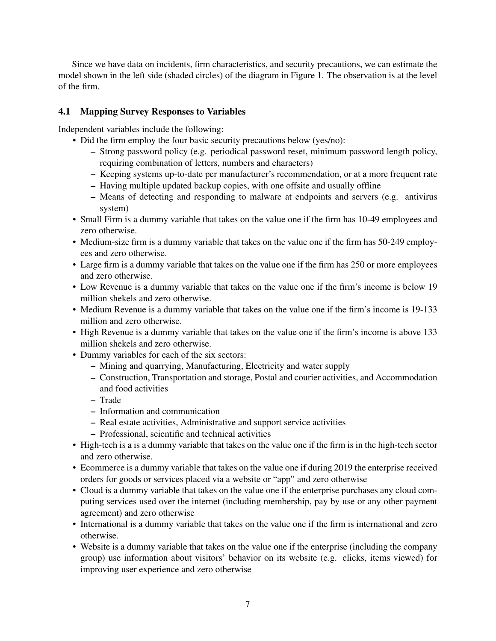Since we have data on incidents, firm characteristics, and security precautions, we can estimate the model shown in the left side (shaded circles) of the diagram in Figure 1. The observation is at the level of the firm.

## 4.1 Mapping Survey Responses to Variables

Independent variables include the following:

- Did the firm employ the four basic security precautions below (yes/no):
	- Strong password policy (e.g. periodical password reset, minimum password length policy, requiring combination of letters, numbers and characters)
	- Keeping systems up-to-date per manufacturer's recommendation, or at a more frequent rate
	- Having multiple updated backup copies, with one offsite and usually offline
	- Means of detecting and responding to malware at endpoints and servers (e.g. antivirus system)
- Small Firm is a dummy variable that takes on the value one if the firm has 10-49 employees and zero otherwise.
- Medium-size firm is a dummy variable that takes on the value one if the firm has 50-249 employees and zero otherwise.
- Large firm is a dummy variable that takes on the value one if the firm has 250 or more employees and zero otherwise.
- Low Revenue is a dummy variable that takes on the value one if the firm's income is below 19 million shekels and zero otherwise.
- Medium Revenue is a dummy variable that takes on the value one if the firm's income is 19-133 million and zero otherwise.
- High Revenue is a dummy variable that takes on the value one if the firm's income is above 133 million shekels and zero otherwise.
- Dummy variables for each of the six sectors:
	- Mining and quarrying, Manufacturing, Electricity and water supply
	- Construction, Transportation and storage, Postal and courier activities, and Accommodation and food activities
	- Trade
	- Information and communication
	- Real estate activities, Administrative and support service activities
	- Professional, scientific and technical activities
- High-tech is a is a dummy variable that takes on the value one if the firm is in the high-tech sector and zero otherwise.
- Ecommerce is a dummy variable that takes on the value one if during 2019 the enterprise received orders for goods or services placed via a website or "app" and zero otherwise
- Cloud is a dummy variable that takes on the value one if the enterprise purchases any cloud computing services used over the internet (including membership, pay by use or any other payment agreement) and zero otherwise
- International is a dummy variable that takes on the value one if the firm is international and zero otherwise.
- Website is a dummy variable that takes on the value one if the enterprise (including the company group) use information about visitors' behavior on its website (e.g. clicks, items viewed) for improving user experience and zero otherwise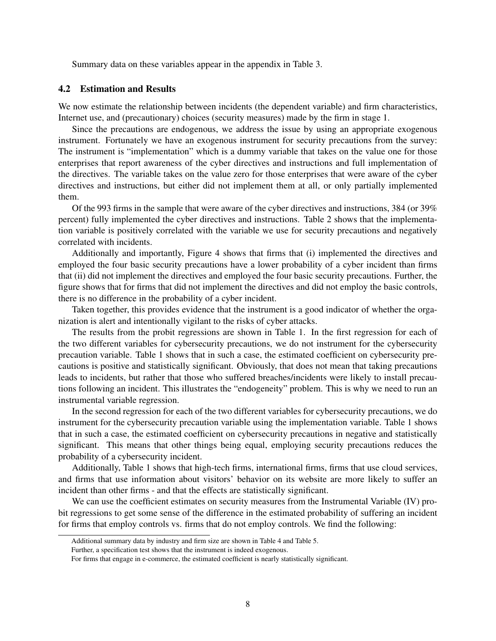Summary data on these variables appear in the appendix in Table 3.

#### 4.2 Estimation and Results

We now estimate the relationship between incidents (the dependent variable) and firm characteristics, Internet use, and (precautionary) choices (security measures) made by the firm in stage 1.

Since the precautions are endogenous, we address the issue by using an appropriate exogenous instrument. Fortunately we have an exogenous instrument for security precautions from the survey: The instrument is "implementation" which is a dummy variable that takes on the value one for those enterprises that report awareness of the cyber directives and instructions and full implementation of the directives. The variable takes on the value zero for those enterprises that were aware of the cyber directives and instructions, but either did not implement them at all, or only partially implemented them.

Of the 993 firms in the sample that were aware of the cyber directives and instructions, 384 (or 39% percent) fully implemented the cyber directives and instructions. Table 2 shows that the implementation variable is positively correlated with the variable we use for security precautions and negatively correlated with incidents.

Additionally and importantly, Figure 4 shows that firms that (i) implemented the directives and employed the four basic security precautions have a lower probability of a cyber incident than firms that (ii) did not implement the directives and employed the four basic security precautions. Further, the figure shows that for firms that did not implement the directives and did not employ the basic controls, there is no difference in the probability of a cyber incident.

Taken together, this provides evidence that the instrument is a good indicator of whether the organization is alert and intentionally vigilant to the risks of cyber attacks.

The results from the probit regressions are shown in Table 1. In the first regression for each of the two different variables for cybersecurity precautions, we do not instrument for the cybersecurity precaution variable. Table 1 shows that in such a case, the estimated coefficient on cybersecurity precautions is positive and statistically significant. Obviously, that does not mean that taking precautions leads to incidents, but rather that those who suffered breaches/incidents were likely to install precautions following an incident. This illustrates the "endogeneity" problem. This is why we need to run an instrumental variable regression.

In the second regression for each of the two different variables for cybersecurity precautions, we do instrument for the cybersecurity precaution variable using the implementation variable. Table 1 shows that in such a case, the estimated coefficient on cybersecurity precautions in negative and statistically significant. This means that other things being equal, employing security precautions reduces the probability of a cybersecurity incident.

Additionally, Table 1 shows that high-tech firms, international firms, firms that use cloud services, and firms that use information about visitors' behavior on its website are more likely to suffer an incident than other firms - and that the effects are statistically significant.

We can use the coefficient estimates on security measures from the Instrumental Variable (IV) probit regressions to get some sense of the difference in the estimated probability of suffering an incident for firms that employ controls vs. firms that do not employ controls. We find the following:

Additional summary data by industry and firm size are shown in Table 4 and Table 5.

Further, a specification test shows that the instrument is indeed exogenous.

For firms that engage in e-commerce, the estimated coefficient is nearly statistically significant.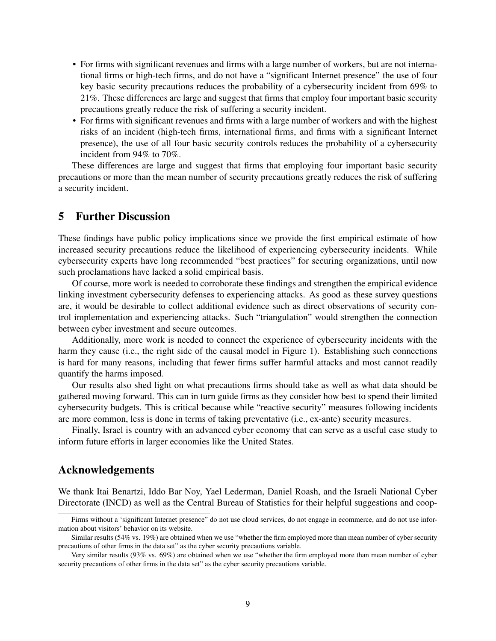- For firms with significant revenues and firms with a large number of workers, but are not international firms or high-tech firms, and do not have a "significant Internet presence" the use of four key basic security precautions reduces the probability of a cybersecurity incident from 69% to 21%. These differences are large and suggest that firms that employ four important basic security precautions greatly reduce the risk of suffering a security incident.
- For firms with significant revenues and firms with a large number of workers and with the highest risks of an incident (high-tech firms, international firms, and firms with a significant Internet presence), the use of all four basic security controls reduces the probability of a cybersecurity incident from 94% to 70%.

These differences are large and suggest that firms that employing four important basic security precautions or more than the mean number of security precautions greatly reduces the risk of suffering a security incident.

#### 5 Further Discussion

These findings have public policy implications since we provide the first empirical estimate of how increased security precautions reduce the likelihood of experiencing cybersecurity incidents. While cybersecurity experts have long recommended "best practices" for securing organizations, until now such proclamations have lacked a solid empirical basis.

Of course, more work is needed to corroborate these findings and strengthen the empirical evidence linking investment cybersecurity defenses to experiencing attacks. As good as these survey questions are, it would be desirable to collect additional evidence such as direct observations of security control implementation and experiencing attacks. Such "triangulation" would strengthen the connection between cyber investment and secure outcomes.

Additionally, more work is needed to connect the experience of cybersecurity incidents with the harm they cause (i.e., the right side of the causal model in Figure 1). Establishing such connections is hard for many reasons, including that fewer firms suffer harmful attacks and most cannot readily quantify the harms imposed.

Our results also shed light on what precautions firms should take as well as what data should be gathered moving forward. This can in turn guide firms as they consider how best to spend their limited cybersecurity budgets. This is critical because while "reactive security" measures following incidents are more common, less is done in terms of taking preventative (i.e., ex-ante) security measures.

Finally, Israel is country with an advanced cyber economy that can serve as a useful case study to inform future efforts in larger economies like the United States.

#### Acknowledgements

We thank Itai Benartzi, Iddo Bar Noy, Yael Lederman, Daniel Roash, and the Israeli National Cyber Directorate (INCD) as well as the Central Bureau of Statistics for their helpful suggestions and coop-

Firms without a 'significant Internet presence" do not use cloud services, do not engage in ecommerce, and do not use information about visitors' behavior on its website.

Similar results (54% vs. 19%) are obtained when we use "whether the firm employed more than mean number of cyber security precautions of other firms in the data set" as the cyber security precautions variable.

Very similar results (93% vs. 69%) are obtained when we use "whether the firm employed more than mean number of cyber security precautions of other firms in the data set" as the cyber security precautions variable.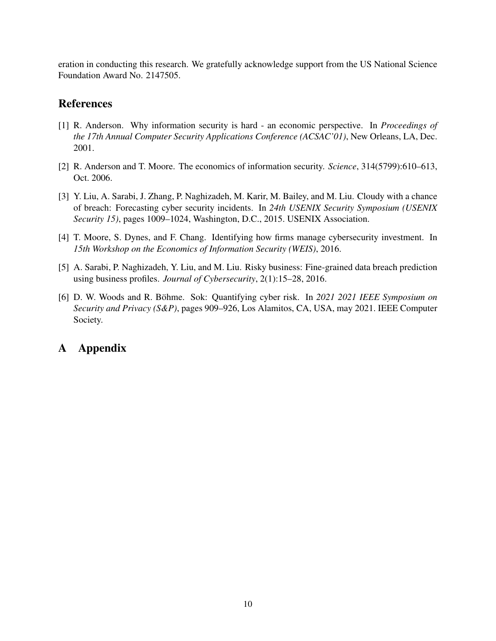eration in conducting this research. We gratefully acknowledge support from the US National Science Foundation Award No. 2147505.

## References

- [1] R. Anderson. Why information security is hard an economic perspective. In *Proceedings of the 17th Annual Computer Security Applications Conference (ACSAC'01)*, New Orleans, LA, Dec. 2001.
- [2] R. Anderson and T. Moore. The economics of information security. *Science*, 314(5799):610–613, Oct. 2006.
- [3] Y. Liu, A. Sarabi, J. Zhang, P. Naghizadeh, M. Karir, M. Bailey, and M. Liu. Cloudy with a chance of breach: Forecasting cyber security incidents. In *24th USENIX Security Symposium (USENIX Security 15)*, pages 1009–1024, Washington, D.C., 2015. USENIX Association.
- [4] T. Moore, S. Dynes, and F. Chang. Identifying how firms manage cybersecurity investment. In *15th Workshop on the Economics of Information Security (WEIS)*, 2016.
- [5] A. Sarabi, P. Naghizadeh, Y. Liu, and M. Liu. Risky business: Fine-grained data breach prediction using business profiles. *Journal of Cybersecurity*, 2(1):15–28, 2016.
- [6] D. W. Woods and R. Böhme. Sok: Quantifying cyber risk. In 2021 2021 IEEE Symposium on *Security and Privacy (S&P)*, pages 909–926, Los Alamitos, CA, USA, may 2021. IEEE Computer Society.

# A Appendix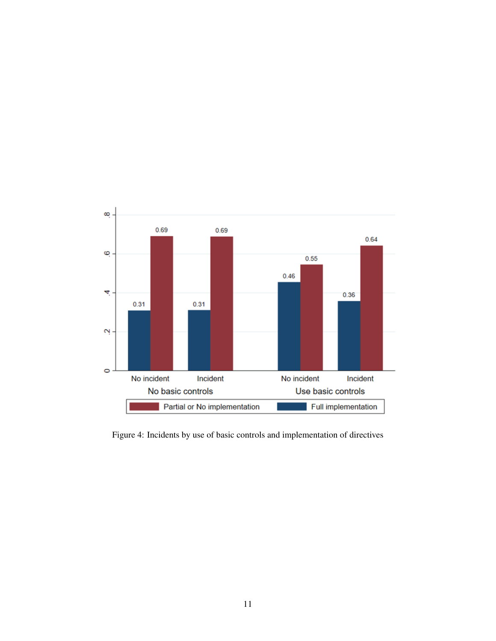

Figure 4: Incidents by use of basic controls and implementation of directives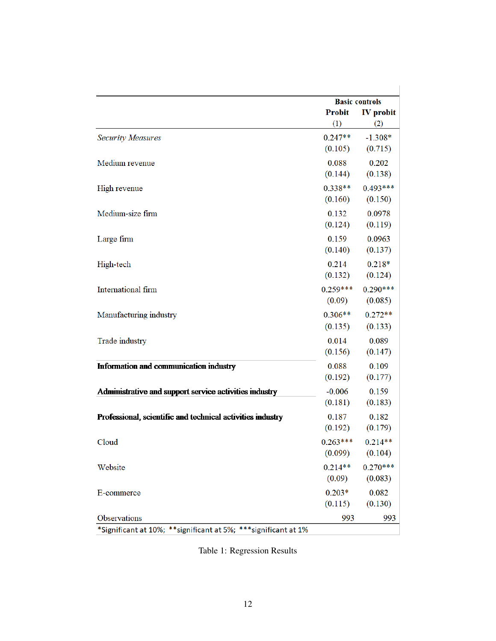|                                                                | <b>Basic controls</b> |                  |
|----------------------------------------------------------------|-----------------------|------------------|
|                                                                | <b>Probit</b>         | <b>IV</b> probit |
|                                                                | (1)                   | (2)              |
| <b>Security Measures</b>                                       | $0.247**$             | $-1.308*$        |
|                                                                | (0.105)               | (0.715)          |
| Medium revenue                                                 | 0.088                 | 0.202            |
|                                                                | (0.144)               | (0.138)          |
| High revenue                                                   | $0.338**$             | $0.493***$       |
|                                                                | (0.160)               | (0.150)          |
| Medium-size firm                                               | 0.132                 | 0.0978           |
|                                                                | (0.124)               | (0.119)          |
| Large firm                                                     | 0.159                 | 0.0963           |
|                                                                | (0.140)               | (0.137)          |
| High-tech                                                      | 0.214                 | $0.218*$         |
|                                                                | (0.132)               | (0.124)          |
| International firm                                             | $0.259***$            | $0.290***$       |
|                                                                | (0.09)                | (0.085)          |
|                                                                | $0.306**$             | $0.272**$        |
| Manufacturing industry                                         | (0.135)               | (0.133)          |
|                                                                |                       |                  |
| Trade industry                                                 | 0.014                 | 0.089            |
|                                                                | (0.156)               | (0.147)          |
| Information and communication industry                         | 0.088                 | 0.109            |
|                                                                | (0.192)               | (0.177)          |
| Administrative and support service activities industry         | $-0.006$              | 0.159            |
|                                                                | (0.181)               | (0.183)          |
| Professional, scientific and technical activities industry     | 0.187                 | 0.182            |
|                                                                | (0.192)               | (0.179)          |
| Cloud                                                          | $0.263***$            | $0.214**$        |
|                                                                | (0.099)               | (0.104)          |
| Website                                                        | $0.214**$             | $0.270***$       |
|                                                                | (0.09)                | (0.083)          |
| E-commerce                                                     | $0.203*$              | 0.082            |
|                                                                | (0.115)               | (0.130)          |
| Observations                                                   | 993                   | 993              |
| *Significant at 10%; **significant at 5%; ***significant at 1% |                       |                  |

Table 1: Regression Results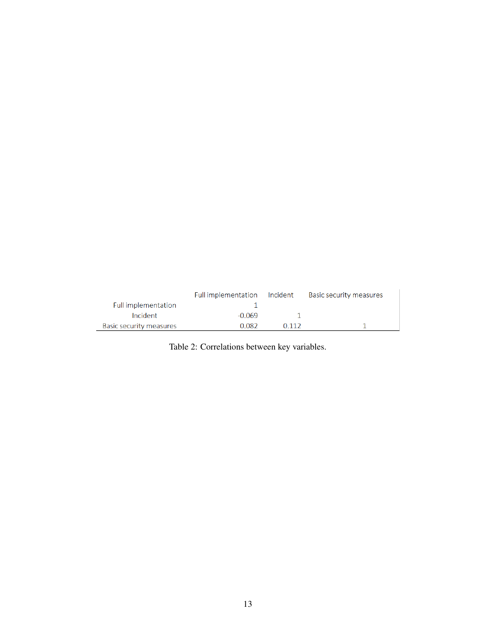|                         | Full implementation Incident |       | Basic security measures |
|-------------------------|------------------------------|-------|-------------------------|
| Full implementation     |                              |       |                         |
| Incident                | -0.069                       |       |                         |
| Basic security measures | 0.082                        | በ 112 |                         |

Table 2: Correlations between key variables.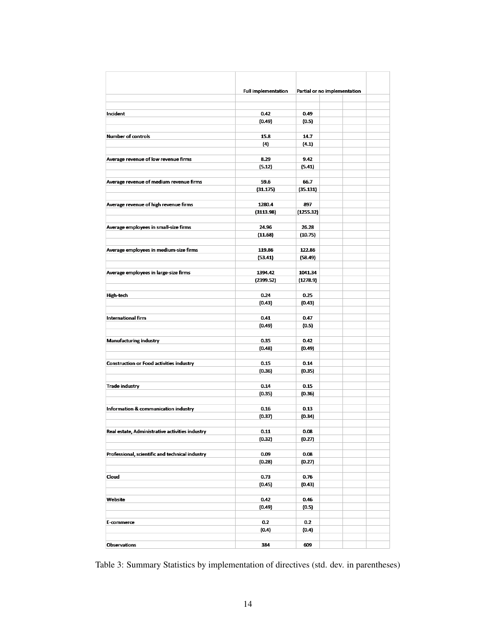|                                                 | <b>Full implementation</b> |           | Partial or no implementation |  |
|-------------------------------------------------|----------------------------|-----------|------------------------------|--|
|                                                 |                            |           |                              |  |
|                                                 |                            |           |                              |  |
| Incident                                        | 0.42                       | 0.49      |                              |  |
|                                                 | (0.49)                     | (0.5)     |                              |  |
|                                                 |                            |           |                              |  |
| <b>Number of controls</b>                       | 15.8                       | 14.7      |                              |  |
|                                                 | (4)                        | (4.1)     |                              |  |
|                                                 |                            |           |                              |  |
| Average revenue of low revenue firms            | 8.29                       | 9.42      |                              |  |
|                                                 | (5.12)                     | (5.41)    |                              |  |
|                                                 |                            |           |                              |  |
| Average revenue of medium revenue firms         | 59.6                       | 66.7      |                              |  |
|                                                 | (31.175)                   | (35.131)  |                              |  |
|                                                 |                            |           |                              |  |
| Average revenue of high revenue firms           | 1280.4                     | 897       |                              |  |
|                                                 | (3113.98)                  | (1255.32) |                              |  |
|                                                 |                            |           |                              |  |
| Average employees in small-size firms           | 24.96                      | 26.28     |                              |  |
|                                                 | (11.68)                    | (10.75)   |                              |  |
|                                                 |                            |           |                              |  |
| Average employees in medium-size firms          | 119.86                     | 122.86    |                              |  |
|                                                 | (53.41)                    | (58.49)   |                              |  |
|                                                 |                            | 1041.34   |                              |  |
| Average employees in large-size firms           | 1394.42                    |           |                              |  |
|                                                 | (2399.52)                  | (1278.9)  |                              |  |
| <b>High-tech</b>                                | 0.24                       | 0.25      |                              |  |
|                                                 | (0.43)                     | (0.43)    |                              |  |
|                                                 |                            |           |                              |  |
| <b>International firm</b>                       | 0.41                       | 0.47      |                              |  |
|                                                 | (0.49)                     | (0.5)     |                              |  |
|                                                 |                            |           |                              |  |
| <b>Manufacturing industry</b>                   | 0.35                       | 0.42      |                              |  |
|                                                 | (0.48)                     | (0.49)    |                              |  |
|                                                 |                            |           |                              |  |
| <b>Construction or Food activities industry</b> | 0.15                       | 0.14      |                              |  |
|                                                 | (0.36)                     | (0.35)    |                              |  |
|                                                 |                            |           |                              |  |
| <b>Trade industry</b>                           | 0.14                       | 0.15      |                              |  |
|                                                 | (0.35)                     | (0.36)    |                              |  |
|                                                 |                            |           |                              |  |
| Information & communication industry            | 0.16                       | 0.13      |                              |  |
|                                                 | (0.37)                     | (0.34)    |                              |  |
|                                                 |                            |           |                              |  |
| Real estate, Administrative activities industry | 0.11                       | 0.08      |                              |  |
|                                                 | (0.32)                     | (0.27)    |                              |  |
|                                                 |                            |           |                              |  |
| Professional, scientific and technical industry | 0.09                       | 0.08      |                              |  |
|                                                 | (0.28)                     | (0.27)    |                              |  |
|                                                 |                            |           |                              |  |
| Cloud                                           | 0.73                       | 0.76      |                              |  |
|                                                 | (0.45)                     | (0.43)    |                              |  |
|                                                 |                            |           |                              |  |
| Website                                         | 0.42                       | 0.46      |                              |  |
|                                                 | (0.49)                     | (0.5)     |                              |  |
|                                                 |                            |           |                              |  |
| E-commerce                                      | 0.2                        | 0.2       |                              |  |
|                                                 | (0.4)                      | (0.4)     |                              |  |
|                                                 |                            |           |                              |  |
| <b>Observations</b>                             | 384                        | 609       |                              |  |

Table 3: Summary Statistics by implementation of directives (std. dev. in parentheses)